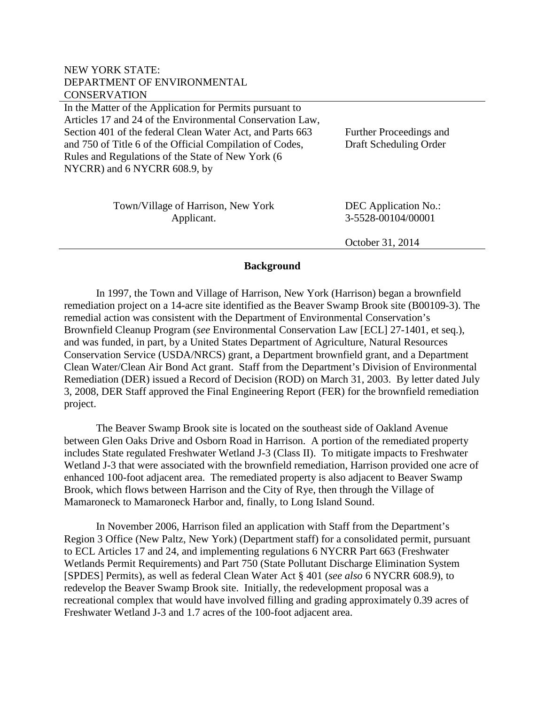# NEW YORK STATE: DEPARTMENT OF ENVIRONMENTAL **CONSERVATION**

In the Matter of the Application for Permits pursuant to Articles 17 and 24 of the Environmental Conservation Law, Section 401 of the federal Clean Water Act, and Parts 663 and 750 of Title 6 of the Official Compilation of Codes, Rules and Regulations of the State of New York (6 NYCRR) and 6 NYCRR 608.9, by

Further Proceedings and Draft Scheduling Order

| Town/Village of Harrison, New York | DEC Application No.: |
|------------------------------------|----------------------|
| Applicant.                         | 3-5528-00104/00001   |
|                                    |                      |

October 31, 2014

### **Background**

In 1997, the Town and Village of Harrison, New York (Harrison) began a brownfield remediation project on a 14-acre site identified as the Beaver Swamp Brook site (B00109-3). The remedial action was consistent with the Department of Environmental Conservation's Brownfield Cleanup Program (*see* Environmental Conservation Law [ECL] 27-1401, et seq.), and was funded, in part, by a United States Department of Agriculture, Natural Resources Conservation Service (USDA/NRCS) grant, a Department brownfield grant, and a Department Clean Water/Clean Air Bond Act grant. Staff from the Department's Division of Environmental Remediation (DER) issued a Record of Decision (ROD) on March 31, 2003. By letter dated July 3, 2008, DER Staff approved the Final Engineering Report (FER) for the brownfield remediation project.

The Beaver Swamp Brook site is located on the southeast side of Oakland Avenue between Glen Oaks Drive and Osborn Road in Harrison. A portion of the remediated property includes State regulated Freshwater Wetland J-3 (Class II). To mitigate impacts to Freshwater Wetland J-3 that were associated with the brownfield remediation, Harrison provided one acre of enhanced 100-foot adjacent area. The remediated property is also adjacent to Beaver Swamp Brook, which flows between Harrison and the City of Rye, then through the Village of Mamaroneck to Mamaroneck Harbor and, finally, to Long Island Sound.

In November 2006, Harrison filed an application with Staff from the Department's Region 3 Office (New Paltz, New York) (Department staff) for a consolidated permit, pursuant to ECL Articles 17 and 24, and implementing regulations 6 NYCRR Part 663 (Freshwater Wetlands Permit Requirements) and Part 750 (State Pollutant Discharge Elimination System [SPDES] Permits), as well as federal Clean Water Act § 401 (*see also* 6 NYCRR 608.9), to redevelop the Beaver Swamp Brook site. Initially, the redevelopment proposal was a recreational complex that would have involved filling and grading approximately 0.39 acres of Freshwater Wetland J-3 and 1.7 acres of the 100-foot adjacent area.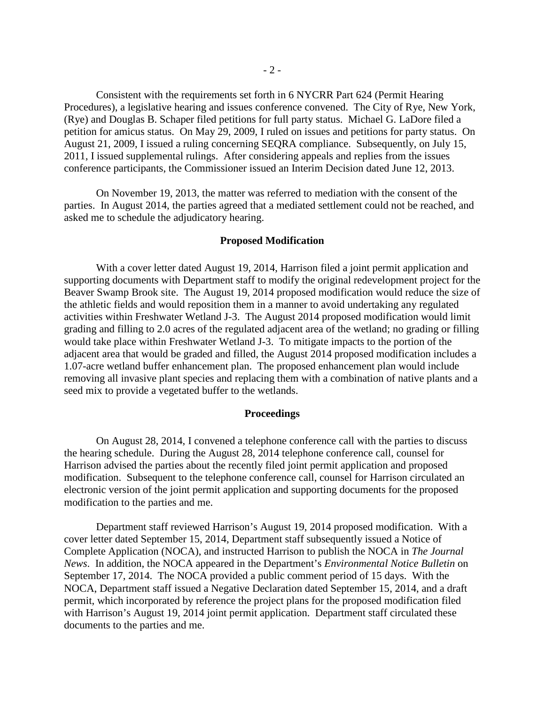Consistent with the requirements set forth in 6 NYCRR Part 624 (Permit Hearing Procedures), a legislative hearing and issues conference convened. The City of Rye, New York, (Rye) and Douglas B. Schaper filed petitions for full party status. Michael G. LaDore filed a petition for amicus status. On May 29, 2009, I ruled on issues and petitions for party status. On August 21, 2009, I issued a ruling concerning SEQRA compliance. Subsequently, on July 15, 2011, I issued supplemental rulings. After considering appeals and replies from the issues conference participants, the Commissioner issued an Interim Decision dated June 12, 2013.

On November 19, 2013, the matter was referred to mediation with the consent of the parties. In August 2014, the parties agreed that a mediated settlement could not be reached, and asked me to schedule the adjudicatory hearing.

#### **Proposed Modification**

With a cover letter dated August 19, 2014, Harrison filed a joint permit application and supporting documents with Department staff to modify the original redevelopment project for the Beaver Swamp Brook site. The August 19, 2014 proposed modification would reduce the size of the athletic fields and would reposition them in a manner to avoid undertaking any regulated activities within Freshwater Wetland J-3. The August 2014 proposed modification would limit grading and filling to 2.0 acres of the regulated adjacent area of the wetland; no grading or filling would take place within Freshwater Wetland J-3. To mitigate impacts to the portion of the adjacent area that would be graded and filled, the August 2014 proposed modification includes a 1.07-acre wetland buffer enhancement plan. The proposed enhancement plan would include removing all invasive plant species and replacing them with a combination of native plants and a seed mix to provide a vegetated buffer to the wetlands.

#### **Proceedings**

On August 28, 2014, I convened a telephone conference call with the parties to discuss the hearing schedule. During the August 28, 2014 telephone conference call, counsel for Harrison advised the parties about the recently filed joint permit application and proposed modification. Subsequent to the telephone conference call, counsel for Harrison circulated an electronic version of the joint permit application and supporting documents for the proposed modification to the parties and me.

Department staff reviewed Harrison's August 19, 2014 proposed modification. With a cover letter dated September 15, 2014, Department staff subsequently issued a Notice of Complete Application (NOCA), and instructed Harrison to publish the NOCA in *The Journal News*. In addition, the NOCA appeared in the Department's *Environmental Notice Bulletin* on September 17, 2014. The NOCA provided a public comment period of 15 days. With the NOCA, Department staff issued a Negative Declaration dated September 15, 2014, and a draft permit, which incorporated by reference the project plans for the proposed modification filed with Harrison's August 19, 2014 joint permit application. Department staff circulated these documents to the parties and me.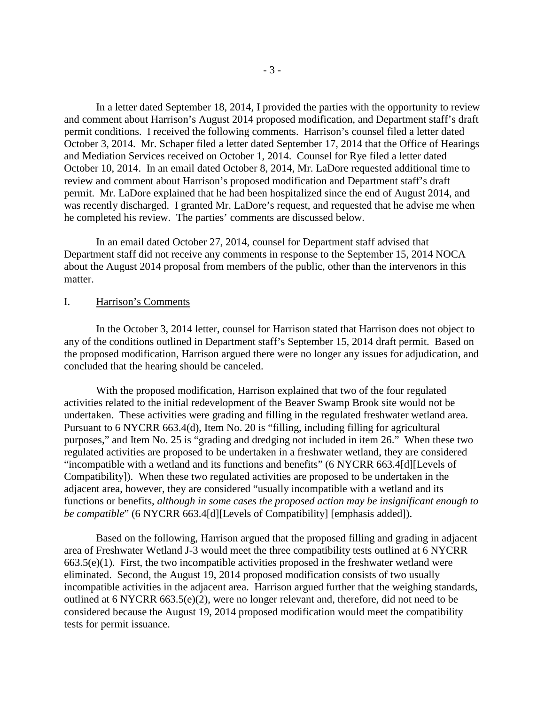In a letter dated September 18, 2014, I provided the parties with the opportunity to review and comment about Harrison's August 2014 proposed modification, and Department staff's draft permit conditions. I received the following comments. Harrison's counsel filed a letter dated October 3, 2014. Mr. Schaper filed a letter dated September 17, 2014 that the Office of Hearings and Mediation Services received on October 1, 2014. Counsel for Rye filed a letter dated October 10, 2014. In an email dated October 8, 2014, Mr. LaDore requested additional time to review and comment about Harrison's proposed modification and Department staff's draft permit. Mr. LaDore explained that he had been hospitalized since the end of August 2014, and was recently discharged. I granted Mr. LaDore's request, and requested that he advise me when he completed his review. The parties' comments are discussed below.

In an email dated October 27, 2014, counsel for Department staff advised that Department staff did not receive any comments in response to the September 15, 2014 NOCA about the August 2014 proposal from members of the public, other than the intervenors in this matter.

#### I. Harrison's Comments

In the October 3, 2014 letter, counsel for Harrison stated that Harrison does not object to any of the conditions outlined in Department staff's September 15, 2014 draft permit. Based on the proposed modification, Harrison argued there were no longer any issues for adjudication, and concluded that the hearing should be canceled.

With the proposed modification, Harrison explained that two of the four regulated activities related to the initial redevelopment of the Beaver Swamp Brook site would not be undertaken. These activities were grading and filling in the regulated freshwater wetland area. Pursuant to 6 NYCRR 663.4(d), Item No. 20 is "filling, including filling for agricultural purposes," and Item No. 25 is "grading and dredging not included in item 26." When these two regulated activities are proposed to be undertaken in a freshwater wetland, they are considered "incompatible with a wetland and its functions and benefits" (6 NYCRR 663.4[d][Levels of Compatibility]). When these two regulated activities are proposed to be undertaken in the adjacent area, however, they are considered "usually incompatible with a wetland and its functions or benefits, *although in some cases the proposed action may be insignificant enough to be compatible*" (6 NYCRR 663.4[d][Levels of Compatibility] [emphasis added]).

Based on the following, Harrison argued that the proposed filling and grading in adjacent area of Freshwater Wetland J-3 would meet the three compatibility tests outlined at 6 NYCRR  $663.5(e)(1)$ . First, the two incompatible activities proposed in the freshwater wetland were eliminated. Second, the August 19, 2014 proposed modification consists of two usually incompatible activities in the adjacent area. Harrison argued further that the weighing standards, outlined at 6 NYCRR 663.5(e)(2), were no longer relevant and, therefore, did not need to be considered because the August 19, 2014 proposed modification would meet the compatibility tests for permit issuance.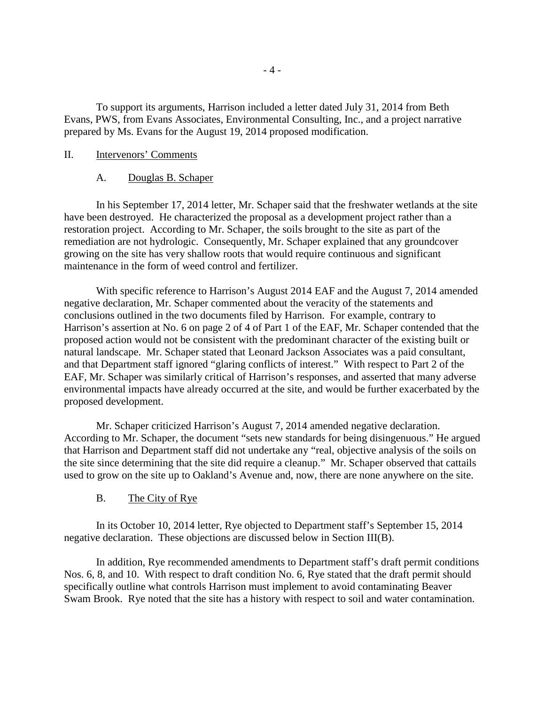To support its arguments, Harrison included a letter dated July 31, 2014 from Beth Evans, PWS, from Evans Associates, Environmental Consulting, Inc., and a project narrative prepared by Ms. Evans for the August 19, 2014 proposed modification.

### II. Intervenors' Comments

#### A. Douglas B. Schaper

In his September 17, 2014 letter, Mr. Schaper said that the freshwater wetlands at the site have been destroyed. He characterized the proposal as a development project rather than a restoration project. According to Mr. Schaper, the soils brought to the site as part of the remediation are not hydrologic. Consequently, Mr. Schaper explained that any groundcover growing on the site has very shallow roots that would require continuous and significant maintenance in the form of weed control and fertilizer.

With specific reference to Harrison's August 2014 EAF and the August 7, 2014 amended negative declaration, Mr. Schaper commented about the veracity of the statements and conclusions outlined in the two documents filed by Harrison. For example, contrary to Harrison's assertion at No. 6 on page 2 of 4 of Part 1 of the EAF, Mr. Schaper contended that the proposed action would not be consistent with the predominant character of the existing built or natural landscape. Mr. Schaper stated that Leonard Jackson Associates was a paid consultant, and that Department staff ignored "glaring conflicts of interest." With respect to Part 2 of the EAF, Mr. Schaper was similarly critical of Harrison's responses, and asserted that many adverse environmental impacts have already occurred at the site, and would be further exacerbated by the proposed development.

Mr. Schaper criticized Harrison's August 7, 2014 amended negative declaration. According to Mr. Schaper, the document "sets new standards for being disingenuous." He argued that Harrison and Department staff did not undertake any "real, objective analysis of the soils on the site since determining that the site did require a cleanup." Mr. Schaper observed that cattails used to grow on the site up to Oakland's Avenue and, now, there are none anywhere on the site.

### B. The City of Rye

In its October 10, 2014 letter, Rye objected to Department staff's September 15, 2014 negative declaration. These objections are discussed below in Section III(B).

In addition, Rye recommended amendments to Department staff's draft permit conditions Nos. 6, 8, and 10. With respect to draft condition No. 6, Rye stated that the draft permit should specifically outline what controls Harrison must implement to avoid contaminating Beaver Swam Brook. Rye noted that the site has a history with respect to soil and water contamination.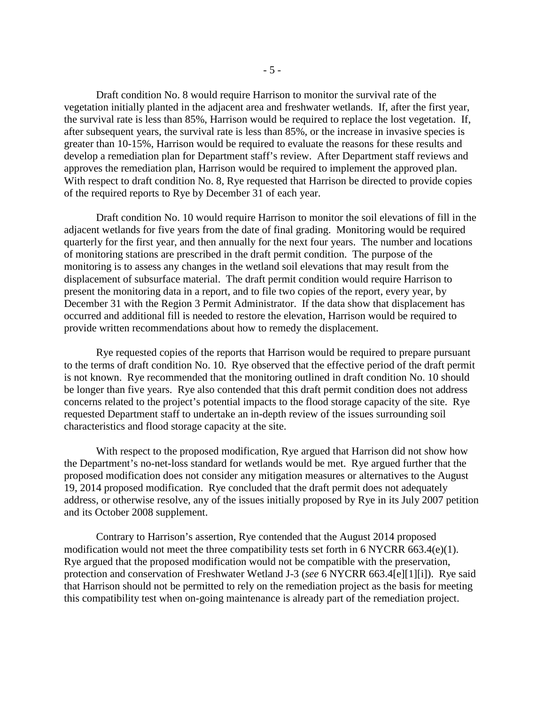Draft condition No. 8 would require Harrison to monitor the survival rate of the vegetation initially planted in the adjacent area and freshwater wetlands. If, after the first year, the survival rate is less than 85%, Harrison would be required to replace the lost vegetation. If, after subsequent years, the survival rate is less than 85%, or the increase in invasive species is greater than 10-15%, Harrison would be required to evaluate the reasons for these results and develop a remediation plan for Department staff's review. After Department staff reviews and approves the remediation plan, Harrison would be required to implement the approved plan. With respect to draft condition No. 8, Rye requested that Harrison be directed to provide copies of the required reports to Rye by December 31 of each year.

Draft condition No. 10 would require Harrison to monitor the soil elevations of fill in the adjacent wetlands for five years from the date of final grading. Monitoring would be required quarterly for the first year, and then annually for the next four years. The number and locations of monitoring stations are prescribed in the draft permit condition. The purpose of the monitoring is to assess any changes in the wetland soil elevations that may result from the displacement of subsurface material. The draft permit condition would require Harrison to present the monitoring data in a report, and to file two copies of the report, every year, by December 31 with the Region 3 Permit Administrator. If the data show that displacement has occurred and additional fill is needed to restore the elevation, Harrison would be required to provide written recommendations about how to remedy the displacement.

Rye requested copies of the reports that Harrison would be required to prepare pursuant to the terms of draft condition No. 10. Rye observed that the effective period of the draft permit is not known. Rye recommended that the monitoring outlined in draft condition No. 10 should be longer than five years. Rye also contended that this draft permit condition does not address concerns related to the project's potential impacts to the flood storage capacity of the site. Rye requested Department staff to undertake an in-depth review of the issues surrounding soil characteristics and flood storage capacity at the site.

With respect to the proposed modification, Rye argued that Harrison did not show how the Department's no-net-loss standard for wetlands would be met. Rye argued further that the proposed modification does not consider any mitigation measures or alternatives to the August 19, 2014 proposed modification. Rye concluded that the draft permit does not adequately address, or otherwise resolve, any of the issues initially proposed by Rye in its July 2007 petition and its October 2008 supplement.

Contrary to Harrison's assertion, Rye contended that the August 2014 proposed modification would not meet the three compatibility tests set forth in 6 NYCRR 663.4(e)(1). Rye argued that the proposed modification would not be compatible with the preservation, protection and conservation of Freshwater Wetland J-3 (*see* 6 NYCRR 663.4[e][1][i]). Rye said that Harrison should not be permitted to rely on the remediation project as the basis for meeting this compatibility test when on-going maintenance is already part of the remediation project.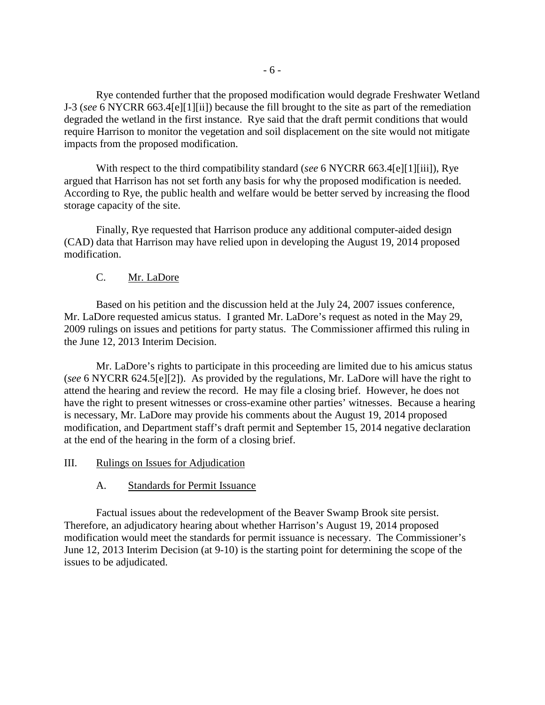Rye contended further that the proposed modification would degrade Freshwater Wetland J-3 (*see* 6 NYCRR 663.4[e][1][ii]) because the fill brought to the site as part of the remediation degraded the wetland in the first instance. Rye said that the draft permit conditions that would require Harrison to monitor the vegetation and soil displacement on the site would not mitigate impacts from the proposed modification.

With respect to the third compatibility standard (*see* 6 NYCRR 663.4[e][1][iii]), Rye argued that Harrison has not set forth any basis for why the proposed modification is needed. According to Rye, the public health and welfare would be better served by increasing the flood storage capacity of the site.

Finally, Rye requested that Harrison produce any additional computer-aided design (CAD) data that Harrison may have relied upon in developing the August 19, 2014 proposed modification.

# C. Mr. LaDore

Based on his petition and the discussion held at the July 24, 2007 issues conference, Mr. LaDore requested amicus status. I granted Mr. LaDore's request as noted in the May 29, 2009 rulings on issues and petitions for party status. The Commissioner affirmed this ruling in the June 12, 2013 Interim Decision.

Mr. LaDore's rights to participate in this proceeding are limited due to his amicus status (*see* 6 NYCRR 624.5[e][2]). As provided by the regulations, Mr. LaDore will have the right to attend the hearing and review the record. He may file a closing brief. However, he does not have the right to present witnesses or cross-examine other parties' witnesses. Because a hearing is necessary, Mr. LaDore may provide his comments about the August 19, 2014 proposed modification, and Department staff's draft permit and September 15, 2014 negative declaration at the end of the hearing in the form of a closing brief.

### III. Rulings on Issues for Adjudication

### A. Standards for Permit Issuance

Factual issues about the redevelopment of the Beaver Swamp Brook site persist. Therefore, an adjudicatory hearing about whether Harrison's August 19, 2014 proposed modification would meet the standards for permit issuance is necessary. The Commissioner's June 12, 2013 Interim Decision (at 9-10) is the starting point for determining the scope of the issues to be adjudicated.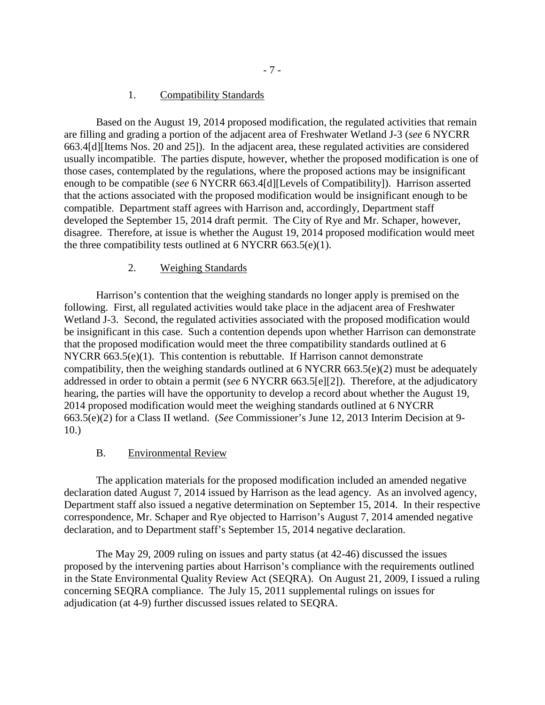### 1. Compatibility Standards

Based on the August 19, 2014 proposed modification, the regulated activities that remain are filling and grading a portion of the adjacent area of Freshwater Wetland J-3 (*see* 6 NYCRR 663.4[d][Items Nos. 20 and 25]). In the adjacent area, these regulated activities are considered usually incompatible. The parties dispute, however, whether the proposed modification is one of those cases, contemplated by the regulations, where the proposed actions may be insignificant enough to be compatible (*see* 6 NYCRR 663.4[d][Levels of Compatibility]). Harrison asserted that the actions associated with the proposed modification would be insignificant enough to be compatible. Department staff agrees with Harrison and, accordingly, Department staff developed the September 15, 2014 draft permit. The City of Rye and Mr. Schaper, however, disagree. Therefore, at issue is whether the August 19, 2014 proposed modification would meet the three compatibility tests outlined at  $6$  NYCRR  $663.5(e)(1)$ .

#### 2. Weighing Standards

Harrison's contention that the weighing standards no longer apply is premised on the following. First, all regulated activities would take place in the adjacent area of Freshwater Wetland J-3. Second, the regulated activities associated with the proposed modification would be insignificant in this case. Such a contention depends upon whether Harrison can demonstrate that the proposed modification would meet the three compatibility standards outlined at 6 NYCRR  $663.5(e)(1)$ . This contention is rebuttable. If Harrison cannot demonstrate compatibility, then the weighing standards outlined at 6 NYCRR 663.5(e)(2) must be adequately addressed in order to obtain a permit (*see* 6 NYCRR 663.5[e][2]). Therefore, at the adjudicatory hearing, the parties will have the opportunity to develop a record about whether the August 19, 2014 proposed modification would meet the weighing standards outlined at 6 NYCRR 663.5(e)(2) for a Class II wetland. (*See* Commissioner's June 12, 2013 Interim Decision at 9- 10.)

#### B. Environmental Review

The application materials for the proposed modification included an amended negative declaration dated August 7, 2014 issued by Harrison as the lead agency. As an involved agency, Department staff also issued a negative determination on September 15, 2014. In their respective correspondence, Mr. Schaper and Rye objected to Harrison's August 7, 2014 amended negative declaration, and to Department staff's September 15, 2014 negative declaration.

The May 29, 2009 ruling on issues and party status (at 42-46) discussed the issues proposed by the intervening parties about Harrison's compliance with the requirements outlined in the State Environmental Quality Review Act (SEQRA). On August 21, 2009, I issued a ruling concerning SEQRA compliance. The July 15, 2011 supplemental rulings on issues for adjudication (at 4-9) further discussed issues related to SEQRA.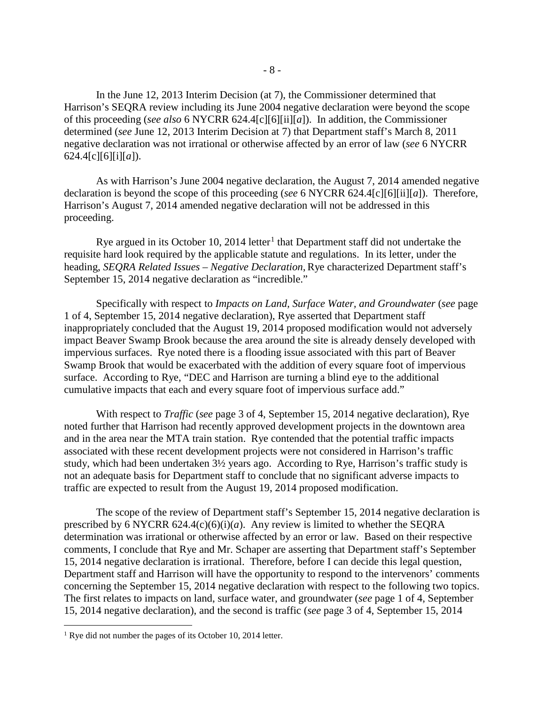In the June 12, 2013 Interim Decision (at 7), the Commissioner determined that Harrison's SEQRA review including its June 2004 negative declaration were beyond the scope of this proceeding (*see also* 6 NYCRR 624.4[c][6][ii][*a*]). In addition, the Commissioner determined (*see* June 12, 2013 Interim Decision at 7) that Department staff's March 8, 2011 negative declaration was not irrational or otherwise affected by an error of law (*see* 6 NYCRR 624.4[c][6][i][*a*]).

As with Harrison's June 2004 negative declaration, the August 7, 2014 amended negative declaration is beyond the scope of this proceeding (*see* 6 NYCRR 624.4[c][6][ii][*a*]). Therefore, Harrison's August 7, 2014 amended negative declaration will not be addressed in this proceeding.

Rye argued in its October [1](#page-7-0)0, 2014 letter<sup>1</sup> that Department staff did not undertake the requisite hard look required by the applicable statute and regulations. In its letter, under the heading, *SEQRA Related Issues – Negative Declaration*, Rye characterized Department staff's September 15, 2014 negative declaration as "incredible."

Specifically with respect to *Impacts on Land, Surface Water, and Groundwater* (*see* page 1 of 4, September 15, 2014 negative declaration), Rye asserted that Department staff inappropriately concluded that the August 19, 2014 proposed modification would not adversely impact Beaver Swamp Brook because the area around the site is already densely developed with impervious surfaces. Rye noted there is a flooding issue associated with this part of Beaver Swamp Brook that would be exacerbated with the addition of every square foot of impervious surface. According to Rye, "DEC and Harrison are turning a blind eye to the additional cumulative impacts that each and every square foot of impervious surface add."

With respect to *Traffic* (*see* page 3 of 4, September 15, 2014 negative declaration), Rye noted further that Harrison had recently approved development projects in the downtown area and in the area near the MTA train station. Rye contended that the potential traffic impacts associated with these recent development projects were not considered in Harrison's traffic study, which had been undertaken 3½ years ago. According to Rye, Harrison's traffic study is not an adequate basis for Department staff to conclude that no significant adverse impacts to traffic are expected to result from the August 19, 2014 proposed modification.

The scope of the review of Department staff's September 15, 2014 negative declaration is prescribed by 6 NYCRR 624.4(c)(6)(i)(*a*). Any review is limited to whether the SEQRA determination was irrational or otherwise affected by an error or law. Based on their respective comments, I conclude that Rye and Mr. Schaper are asserting that Department staff's September 15, 2014 negative declaration is irrational. Therefore, before I can decide this legal question, Department staff and Harrison will have the opportunity to respond to the intervenors' comments concerning the September 15, 2014 negative declaration with respect to the following two topics. The first relates to impacts on land, surface water, and groundwater (*see* page 1 of 4, September 15, 2014 negative declaration), and the second is traffic (*see* page 3 of 4, September 15, 2014

 $\overline{a}$ 

<span id="page-7-0"></span><sup>&</sup>lt;sup>1</sup> Rye did not number the pages of its October 10, 2014 letter.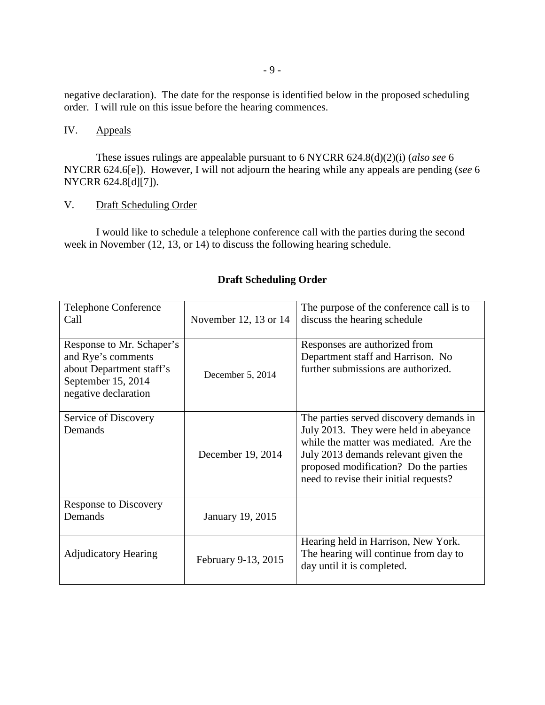negative declaration). The date for the response is identified below in the proposed scheduling order. I will rule on this issue before the hearing commences.

# IV. Appeals

These issues rulings are appealable pursuant to 6 NYCRR 624.8(d)(2)(i) (*also see* 6 NYCRR 624.6[e]). However, I will not adjourn the hearing while any appeals are pending (*see* 6 NYCRR 624.8[d][7]).

## V. Draft Scheduling Order

I would like to schedule a telephone conference call with the parties during the second week in November (12, 13, or 14) to discuss the following hearing schedule.

| Telephone Conference<br>Call                                                                                              | November 12, 13 or 14 | The purpose of the conference call is to<br>discuss the hearing schedule                                                                                                                                                                              |
|---------------------------------------------------------------------------------------------------------------------------|-----------------------|-------------------------------------------------------------------------------------------------------------------------------------------------------------------------------------------------------------------------------------------------------|
| Response to Mr. Schaper's<br>and Rye's comments<br>about Department staff's<br>September 15, 2014<br>negative declaration | December 5, 2014      | Responses are authorized from<br>Department staff and Harrison. No<br>further submissions are authorized.                                                                                                                                             |
| Service of Discovery<br>Demands                                                                                           | December 19, 2014     | The parties served discovery demands in<br>July 2013. They were held in abeyance<br>while the matter was mediated. Are the<br>July 2013 demands relevant given the<br>proposed modification? Do the parties<br>need to revise their initial requests? |
| <b>Response to Discovery</b><br>Demands                                                                                   | January 19, 2015      |                                                                                                                                                                                                                                                       |
| <b>Adjudicatory Hearing</b>                                                                                               | February 9-13, 2015   | Hearing held in Harrison, New York.<br>The hearing will continue from day to<br>day until it is completed.                                                                                                                                            |

## **Draft Scheduling Order**